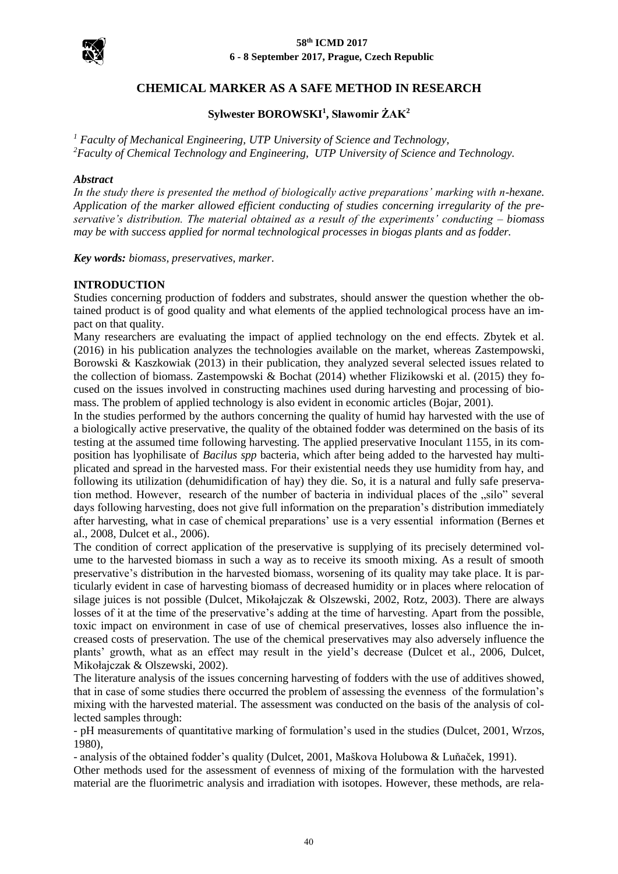

#### **58th ICMD 2017 6 - 8 September 2017, Prague, Czech Republic**

# **CHEMICAL MARKER AS A SAFE METHOD IN RESEARCH**

# **Sylwester BOROWSKI<sup>1</sup> , Sławomir ŻAK<sup>2</sup>**

*<sup>1</sup> Faculty of Mechanical Engineering, UTP University of Science and Technology, <sup>2</sup>Faculty of Chemical Technology and Engineering, UTP University of Science and Technology.*

#### *Abstract*

*In the study there is presented the method of biologically active preparations' marking with n-hexane. Application of the marker allowed efficient conducting of studies concerning irregularity of the preservative's distribution. The material obtained as a result of the experiments' conducting – biomass may be with success applied for normal technological processes in biogas plants and as fodder.*

*Key words: biomass, preservatives, marker.*

### **INTRODUCTION**

Studies concerning production of fodders and substrates, should answer the question whether the obtained product is of good quality and what elements of the applied technological process have an impact on that quality.

Many researchers are evaluating the impact of applied technology on the end effects. Zbytek et al. (2016) in his publication analyzes the technologies available on the market, whereas Zastempowski, Borowski & Kaszkowiak (2013) in their publication, they analyzed several selected issues related to the collection of biomass. Zastempowski & Bochat (2014) whether Flizikowski et al. (2015) they focused on the issues involved in constructing machines used during harvesting and processing of biomass. The problem of applied technology is also evident in economic articles (Bojar, 2001).

In the studies performed by the authors concerning the quality of humid hay harvested with the use of a biologically active preservative, the quality of the obtained fodder was determined on the basis of its testing at the assumed time following harvesting. The applied preservative Inoculant 1155, in its composition has lyophilisate of *Bacilus spp* bacteria, which after being added to the harvested hay multiplicated and spread in the harvested mass. For their existential needs they use humidity from hay, and following its utilization (dehumidification of hay) they die. So, it is a natural and fully safe preservation method. However, research of the number of bacteria in individual places of the "silo" several days following harvesting, does not give full information on the preparation's distribution immediately after harvesting, what in case of chemical preparations' use is a very essential information (Bernes et al., 2008, Dulcet et al., 2006).

The condition of correct application of the preservative is supplying of its precisely determined volume to the harvested biomass in such a way as to receive its smooth mixing. As a result of smooth preservative's distribution in the harvested biomass, worsening of its quality may take place. It is particularly evident in case of harvesting biomass of decreased humidity or in places where relocation of silage juices is not possible (Dulcet, Mikołajczak & Olszewski, 2002, Rotz, 2003). There are always losses of it at the time of the preservative's adding at the time of harvesting. Apart from the possible, toxic impact on environment in case of use of chemical preservatives, losses also influence the increased costs of preservation. The use of the chemical preservatives may also adversely influence the plants' growth, what as an effect may result in the yield's decrease (Dulcet et al., 2006, Dulcet, Mikołajczak & Olszewski, 2002).

The literature analysis of the issues concerning harvesting of fodders with the use of additives showed, that in case of some studies there occurred the problem of assessing the evenness of the formulation's mixing with the harvested material. The assessment was conducted on the basis of the analysis of collected samples through:

- pH measurements of quantitative marking of formulation's used in the studies (Dulcet, 2001, Wrzos, 1980),

- analysis of the obtained fodder's quality (Dulcet, 2001, Maškova Holubowa & Luňaček, 1991).

Other methods used for the assessment of evenness of mixing of the formulation with the harvested material are the fluorimetric analysis and irradiation with isotopes. However, these methods, are rela-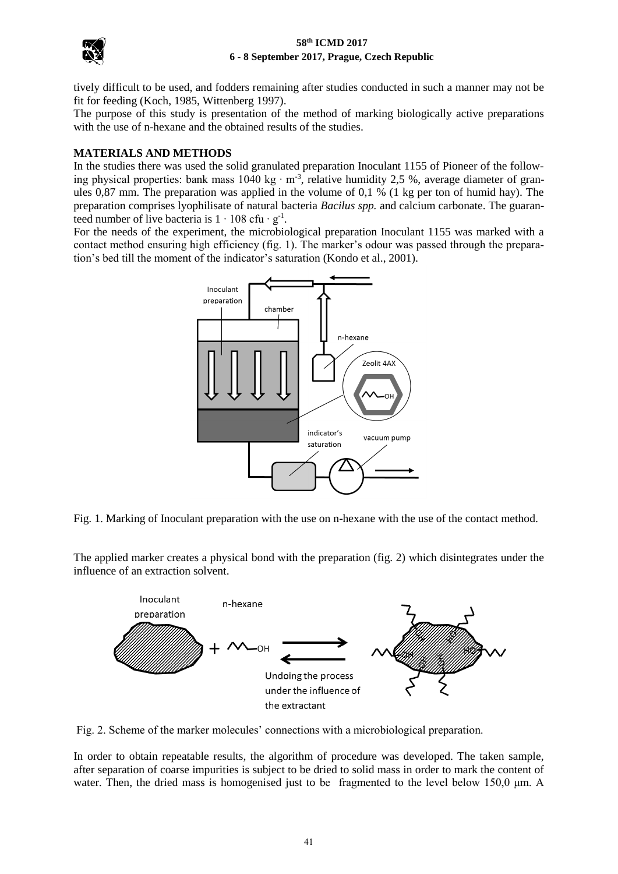

#### **58th ICMD 2017 6 - 8 September 2017, Prague, Czech Republic**

tively difficult to be used, and fodders remaining after studies conducted in such a manner may not be fit for feeding (Koch, 1985, Wittenberg 1997).

The purpose of this study is presentation of the method of marking biologically active preparations with the use of n-hexane and the obtained results of the studies.

## **MATERIALS AND METHODS**

In the studies there was used the solid granulated preparation Inoculant 1155 of Pioneer of the following physical properties: bank mass 1040 kg ⋅ m<sup>-3</sup>, relative humidity 2,5 %, average diameter of granules 0,87 mm. The preparation was applied in the volume of 0,1 % (1 kg per ton of humid hay). The preparation comprises lyophilisate of natural bacteria *Bacilus spp.* and calcium carbonate. The guaranteed number of live bacteria is  $1 \cdot 108$  cfu  $\cdot$  g<sup>-1</sup>.

For the needs of the experiment, the microbiological preparation Inoculant 1155 was marked with a contact method ensuring high efficiency (fig. 1). The marker's odour was passed through the preparation's bed till the moment of the indicator's saturation (Kondo et al., 2001).



Fig. 1. Marking of Inoculant preparation with the use on n-hexane with the use of the contact method.

The applied marker creates a physical bond with the preparation (fig. 2) which disintegrates under the influence of an extraction solvent.



Fig. 2. Scheme of the marker molecules' connections with a microbiological preparation.

In order to obtain repeatable results, the algorithm of procedure was developed. The taken sample, after separation of coarse impurities is subject to be dried to solid mass in order to mark the content of water. Then, the dried mass is homogenised just to be fragmented to the level below 150,0  $\mu$ m. A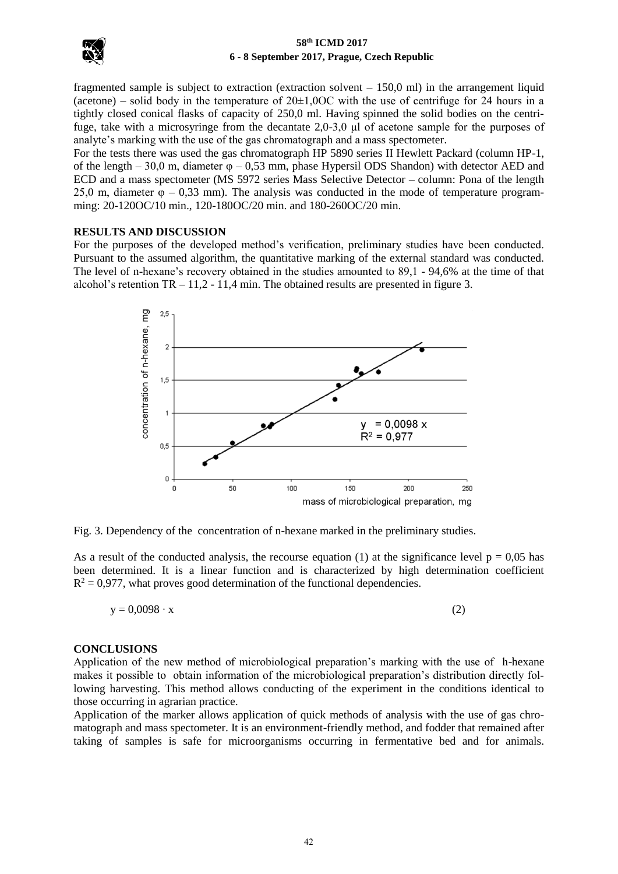

### **58th ICMD 2017 6 - 8 September 2017, Prague, Czech Republic**

fragmented sample is subject to extraction (extraction solvent – 150,0 ml) in the arrangement liquid (acetone) – solid body in the temperature of  $20\pm1,00C$  with the use of centrifuge for 24 hours in a tightly closed conical flasks of capacity of 250,0 ml. Having spinned the solid bodies on the centrifuge, take with a microsyringe from the decantate 2,0-3,0 μl of acetone sample for the purposes of analyte's marking with the use of the gas chromatograph and a mass spectometer.

For the tests there was used the gas chromatograph HP 5890 series II Hewlett Packard (column HP-1, of the length – 30,0 m, diameter  $\varphi$  – 0,53 mm, phase Hypersil ODS Shandon) with detector AED and ECD and a mass spectometer (MS 5972 series Mass Selective Detector – column: Pona of the length 25,0 m, diameter  $\varphi$  – 0,33 mm). The analysis was conducted in the mode of temperature programming: 20-120OC/10 min., 120-180OC/20 min. and 180-260OC/20 min.

### **RESULTS AND DISCUSSION**

For the purposes of the developed method's verification, preliminary studies have been conducted. Pursuant to the assumed algorithm, the quantitative marking of the external standard was conducted. The level of n-hexane's recovery obtained in the studies amounted to 89,1 - 94,6% at the time of that alcohol's retention  $TR - 11,2 - 11,4$  min. The obtained results are presented in figure 3.



Fig. 3. Dependency of the concentration of n-hexane marked in the preliminary studies.

As a result of the conducted analysis, the recourse equation (1) at the significance level  $p = 0.05$  has been determined. It is a linear function and is characterized by high determination coefficient  $R<sup>2</sup> = 0.977$ , what proves good determination of the functional dependencies.

$$
y = 0.0098 \cdot x \tag{2}
$$

# **CONCLUSIONS**

Application of the new method of microbiological preparation's marking with the use of h-hexane makes it possible to obtain information of the microbiological preparation's distribution directly following harvesting. This method allows conducting of the experiment in the conditions identical to those occurring in agrarian practice.

Application of the marker allows application of quick methods of analysis with the use of gas chromatograph and mass spectometer. It is an environment-friendly method, and fodder that remained after taking of samples is safe for microorganisms occurring in fermentative bed and for animals.